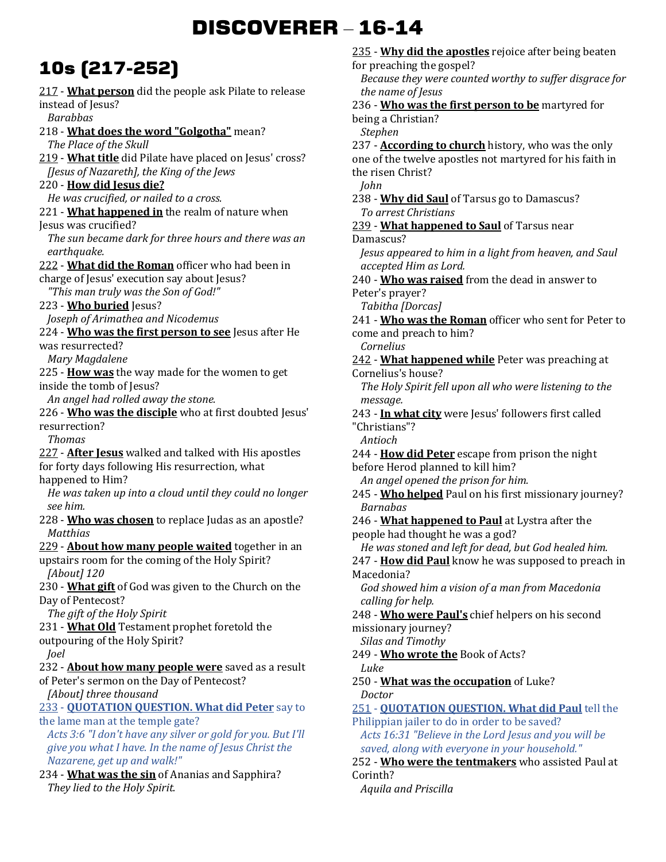# **DISCOVERER** – **16-14**

# **10s (217-252)**

217 - **What person** did the people ask Pilate to release instead of Jesus? *Barabbas*  218 - **What does the word "Golgotha"** mean? *The Place of the Skull*  219 - **What title** did Pilate have placed on Jesus' cross? *[Jesus of Nazareth], the King of the Jews*  220 - **How did Jesus die?** *He was crucified, or nailed to a cross.*  221 - **What happened in** the realm of nature when Jesus was crucified? *The sun became dark for three hours and there was an earthquake.*  222 - **What did the Roman** officer who had been in charge of Jesus' execution say about Jesus? *"This man truly was the Son of God!"*  223 - **Who buried** Jesus? *Joseph of Arimathea and Nicodemus*  224 - **Who was the first person to see** Jesus after He was resurrected? *Mary Magdalene*  225 - **How was** the way made for the women to get inside the tomb of Jesus? *An angel had rolled away the stone.*  226 - **Who was the disciple** who at first doubted Jesus' resurrection? *Thomas*  227 - **After Jesus** walked and talked with His apostles for forty days following His resurrection, what happened to Him? *He was taken up into a cloud until they could no longer see him.*  228 - **Who was chosen** to replace Judas as an apostle? *Matthias*  229 - **About how many people waited** together in an upstairs room for the coming of the Holy Spirit? *[About] 120*  230 - **What gift** of God was given to the Church on the Day of Pentecost? *The gift of the Holy Spirit*  231 - **What Old** Testament prophet foretold the outpouring of the Holy Spirit? *Joel*  232 - **About how many people were** saved as a result of Peter's sermon on the Day of Pentecost? *[About] three thousand*  233 - **QUOTATION QUESTION. What did Peter** say to the lame man at the temple gate? *Acts 3:6 "I don't have any silver or gold for you. But I'll give you what I have. In the name of Jesus Christ the Nazarene, get up and walk!"* 234 - **What was the sin** of Ananias and Sapphira? *They lied to the Holy Spirit.* 

235 - **Why did the apostles** rejoice after being beaten for preaching the gospel? *Because they were counted worthy to suffer disgrace for the name of Jesus*  236 - **Who was the first person to be** martyred for being a Christian? *Stephen*  237 - **According to church** history, who was the only one of the twelve apostles not martyred for his faith in the risen Christ? *John*  238 - **Why did Saul** of Tarsus go to Damascus? *To arrest Christians*  239 - **What happened to Saul** of Tarsus near Damascus? *Jesus appeared to him in a light from heaven, and Saul accepted Him as Lord.*  240 - **Who was raised** from the dead in answer to Peter's prayer? *Tabitha [Dorcas]*  241 - **Who was the Roman** officer who sent for Peter to come and preach to him? *Cornelius*  242 - **What happened while** Peter was preaching at Cornelius's house? *The Holy Spirit fell upon all who were listening to the message.*  243 - **In what city** were Jesus' followers first called "Christians"? *Antioch*  244 - **How did Peter** escape from prison the night before Herod planned to kill him? *An angel opened the prison for him.*  245 - **Who helped** Paul on his first missionary journey? *Barnabas*  246 - **What happened to Paul** at Lystra after the people had thought he was a god? *He was stoned and left for dead, but God healed him.*  247 - **How did Paul** know he was supposed to preach in Macedonia? *God showed him a vision of a man from Macedonia calling for help.*  248 - **Who were Paul's** chief helpers on his second missionary journey? *Silas and Timothy*  249 - **Who wrote the** Book of Acts? *Luke*  250 - **What was the occupation** of Luke? *Doctor*  251 - **QUOTATION QUESTION. What did Paul** tell the Philippian jailer to do in order to be saved? *Acts 16:31 "Believe in the Lord Jesus and you will be saved, along with everyone in your household."*  252 - **Who were the tentmakers** who assisted Paul at Corinth? *Aquila and Priscilla*